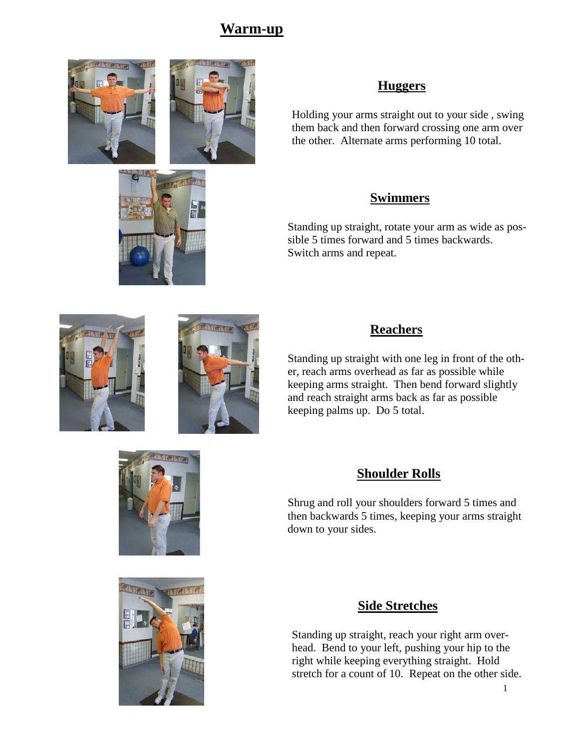# **Warm-up**







### **Huggers**

Holding your arms straight out to your side , swing them back and then forward crossing one arm over the other. Alternate arms performing 10 total.

### **Swimmers**

Standing up straight, rotate your arm as wide as possible 5 times forward and 5 times backwards. Switch arms and repeat.





## **Reachers**

Standing up straight with one leg in front of the other, reach arms overhead as far as possible while keeping arms straight. Then bend forward slightly and reach straight arms back as far as possible keeping palms up. Do 5 total.

## **Shoulder Rolls**

Shrug and roll your shoulders forward 5 times and then backwards 5 times, keeping your arms straight down to your sides.

## **Side Stretches**

Standing up straight, reach your right arm overhead. Bend to your left, pushing your hip to the right while keeping everything straight. Hold stretch for a count of 10. Repeat on the other side.